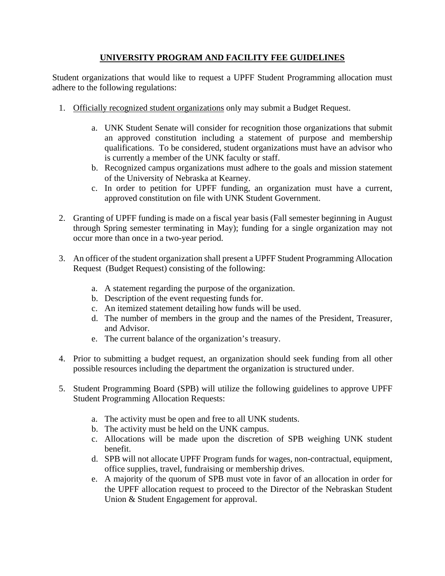## **UNIVERSITY PROGRAM AND FACILITY FEE GUIDELINES**

Student organizations that would like to request a UPFF Student Programming allocation must adhere to the following regulations:

- 1. Officially recognized student organizations only may submit a Budget Request.
	- a. UNK Student Senate will consider for recognition those organizations that submit an approved constitution including a statement of purpose and membership qualifications. To be considered, student organizations must have an advisor who is currently a member of the UNK faculty or staff.
	- b. Recognized campus organizations must adhere to the goals and mission statement of the University of Nebraska at Kearney.
	- c. In order to petition for UPFF funding, an organization must have a current, approved constitution on file with UNK Student Government.
- 2. Granting of UPFF funding is made on a fiscal year basis (Fall semester beginning in August through Spring semester terminating in May); funding for a single organization may not occur more than once in a two-year period.
- 3. An officer of the student organization shall present a UPFF Student Programming Allocation Request (Budget Request) consisting of the following:
	- a. A statement regarding the purpose of the organization.
	- b. Description of the event requesting funds for.
	- c. An itemized statement detailing how funds will be used.
	- d. The number of members in the group and the names of the President, Treasurer, and Advisor.
	- e. The current balance of the organization's treasury.
- 4. Prior to submitting a budget request, an organization should seek funding from all other possible resources including the department the organization is structured under.
- 5. Student Programming Board (SPB) will utilize the following guidelines to approve UPFF Student Programming Allocation Requests:
	- a. The activity must be open and free to all UNK students.
	- b. The activity must be held on the UNK campus.
	- c. Allocations will be made upon the discretion of SPB weighing UNK student benefit.
	- d. SPB will not allocate UPFF Program funds for wages, non-contractual, equipment, office supplies, travel, fundraising or membership drives.
	- e. A majority of the quorum of SPB must vote in favor of an allocation in order for the UPFF allocation request to proceed to the Director of the Nebraskan Student Union & Student Engagement for approval.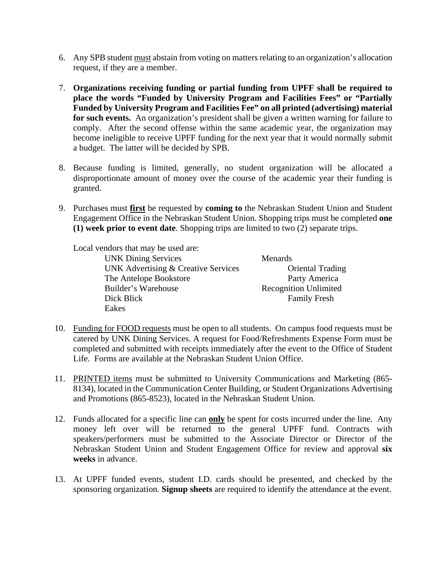- 6. Any SPB student must abstain from voting on matters relating to an organization's allocation request, if they are a member.
- 7. **Organizations receiving funding or partial funding from UPFF shall be required to place the words "Funded by University Program and Facilities Fees" or "Partially Funded by University Program and Facilities Fee" on all printed (advertising) material**  for such events. An organization's president shall be given a written warning for failure to comply. After the second offense within the same academic year, the organization may become ineligible to receive UPFF funding for the next year that it would normally submit a budget. The latter will be decided by SPB.
- 8. Because funding is limited, generally, no student organization will be allocated a disproportionate amount of money over the course of the academic year their funding is granted.
- 9. Purchases must **first** be requested by **coming to** the Nebraskan Student Union and Student Engagement Office in the Nebraskan Student Union. Shopping trips must be completed **one (1) week prior to event date**. Shopping trips are limited to two (2) separate trips.

Local vendors that may be used are:

| <b>UNK Dining Services</b>                     | Menards                      |
|------------------------------------------------|------------------------------|
| <b>UNK Advertising &amp; Creative Services</b> | <b>Oriental Trading</b>      |
| The Antelope Bookstore                         | Party America                |
| Builder's Warehouse                            | <b>Recognition Unlimited</b> |
| Dick Blick                                     | <b>Family Fresh</b>          |
| Eakes                                          |                              |

- 10. Funding for FOOD requests must be open to all students. On campus food requests must be catered by UNK Dining Services. A request for Food/Refreshments Expense Form must be completed and submitted with receipts immediately after the event to the Office of Student Life. Forms are available at the Nebraskan Student Union Office.
- 11. PRINTED items must be submitted to University Communications and Marketing (865- 8134), located in the Communication Center Building, or Student Organizations Advertising and Promotions (865-8523), located in the Nebraskan Student Union.
- 12. Funds allocated for a specific line can **only** be spent for costs incurred under the line. Any money left over will be returned to the general UPFF fund. Contracts with speakers/performers must be submitted to the Associate Director or Director of the Nebraskan Student Union and Student Engagement Office for review and approval **six weeks** in advance.
- 13. At UPFF funded events, student I.D. cards should be presented, and checked by the sponsoring organization. **Signup sheets** are required to identify the attendance at the event.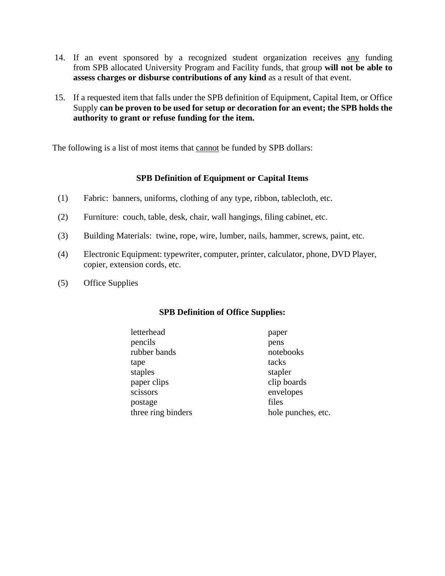- 14. If an event sponsored by a recognized student organization receives any funding from SPB allocated University Program and Facility funds, that group **will not be able to assess charges or disburse contributions of any kind** as a result of that event.
- 15. If a requested item that falls under the SPB definition of Equipment, Capital Item, or Office Supply **can be proven to be used for setup or decoration for an event; the SPB holds the authority to grant or refuse funding for the item.**

The following is a list of most items that cannot be funded by SPB dollars:

## **SPB Definition of Equipment or Capital Items**

- (1) Fabric: banners, uniforms, clothing of any type, ribbon, tablecloth, etc.
- (2) Furniture: couch, table, desk, chair, wall hangings, filing cabinet, etc.
- (3) Building Materials: twine, rope, wire, lumber, nails, hammer, screws, paint, etc.
- (4) Electronic Equipment: typewriter, computer, printer, calculator, phone, DVD Player, copier, extension cords, etc.
- (5) Office Supplies

## **SPB Definition of Office Supplies:**

 letterhead paper pencils pens rubber bands notebooks tape tacks staples stapler paper clips clip boards scissors envelopes postage files three ring binders hole punches, etc.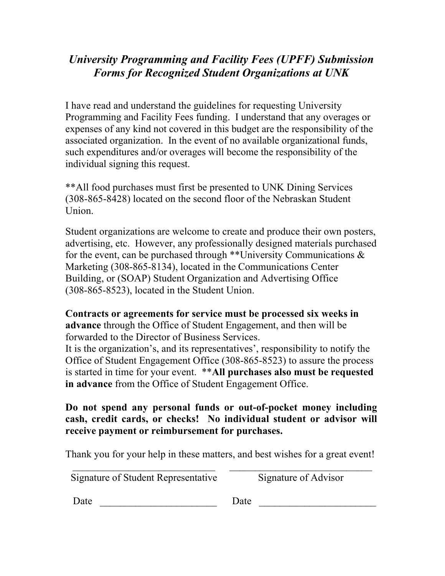## *University Programming and Facility Fees (UPFF) Submission Forms for Recognized Student Organizations at UNK*

I have read and understand the guidelines for requesting University Programming and Facility Fees funding. I understand that any overages or expenses of any kind not covered in this budget are the responsibility of the associated organization. In the event of no available organizational funds, such expenditures and/or overages will become the responsibility of the individual signing this request.

\*\*All food purchases must first be presented to UNK Dining Services (308-865-8428) located on the second floor of the Nebraskan Student Union.

Student organizations are welcome to create and produce their own posters, advertising, etc. However, any professionally designed materials purchased for the event, can be purchased through \*\*University Communications  $\&$ Marketing (308-865-8134), located in the Communications Center Building, or (SOAP) Student Organization and Advertising Office (308-865-8523), located in the Student Union.

**Contracts or agreements for service must be processed six weeks in advance** through the Office of Student Engagement, and then will be forwarded to the Director of Business Services.

It is the organization's, and its representatives', responsibility to notify the Office of Student Engagement Office (308-865-8523) to assure the process is started in time for your event. \*\***All purchases also must be requested in advance** from the Office of Student Engagement Office.

**Do not spend any personal funds or out-of-pocket money including cash, credit cards, or checks! No individual student or advisor will receive payment or reimbursement for purchases.** 

Thank you for your help in these matters, and best wishes for a great event! \_\_\_\_\_\_\_\_\_\_\_\_\_\_\_\_\_\_\_\_\_\_\_\_\_\_\_\_ \_\_\_\_\_\_\_\_\_\_\_\_\_\_\_\_\_\_\_\_\_\_\_\_\_\_\_\_

Signature of Student Representative Signature of Advisor

Date Date Date  $\Box$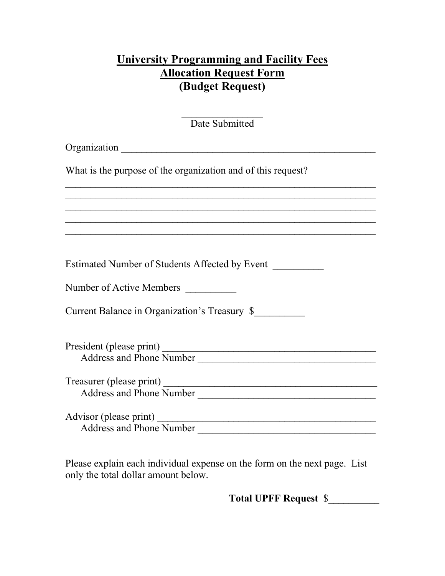## **University Programming and Facility Fees Allocation Request Form (Budget Request)**

 $\overline{\mathcal{L}}$ Date Submitted

 $\_$  , and the contribution of the contribution of  $\mathcal{L}_\mathcal{A}$  , and the contribution of  $\mathcal{L}_\mathcal{A}$  , and the contribution of  $\mathcal{L}_\mathcal{A}$ \_\_\_\_\_\_\_\_\_\_\_\_\_\_\_\_\_\_\_\_\_\_\_\_\_\_\_\_\_\_\_\_\_\_\_\_\_\_\_\_\_\_\_\_\_\_\_\_\_\_\_\_\_\_\_\_\_\_\_\_\_  $\_$  , and the contribution of the contribution of  $\mathcal{L}_\mathcal{A}$  , and the contribution of  $\mathcal{L}_\mathcal{A}$  , and the contribution of  $\mathcal{L}_\mathcal{A}$  $\overline{\phantom{a}}$  , and the contribution of the contribution of the contribution of the contribution of the contribution of the contribution of the contribution of the contribution of the contribution of the contribution of the  $\_$  , and the contribution of the contribution of  $\mathcal{L}_\mathcal{A}$  , and the contribution of  $\mathcal{L}_\mathcal{A}$  , and the contribution of  $\mathcal{L}_\mathcal{A}$ 

Organization \_\_\_\_\_\_\_\_\_\_\_\_\_\_\_\_\_\_\_\_\_\_\_\_\_\_\_\_\_\_\_\_\_\_\_\_\_\_\_\_\_\_\_\_\_\_\_\_\_\_

What is the purpose of the organization and of this request?

Estimated Number of Students Affected by Event \_\_\_\_\_\_\_\_\_\_

Number of Active Members \_\_\_\_\_\_\_\_\_\_

Current Balance in Organization's Treasury \$\_\_\_\_\_\_\_\_\_\_

| President (please print)        |  |
|---------------------------------|--|
| <b>Address and Phone Number</b> |  |

Treasurer (please print) \_\_\_\_\_\_\_\_\_\_\_\_\_\_\_\_\_\_\_\_\_\_\_\_\_\_\_\_\_\_\_\_\_\_\_\_\_\_\_\_\_\_ Address and Phone Number **Aucher** 2021

Advisor (please print) \_\_\_\_\_\_\_\_\_\_\_\_\_\_\_\_\_\_\_\_\_\_\_\_\_\_\_\_\_\_\_\_\_\_\_\_\_\_\_\_\_\_\_ Address and Phone Number \_\_\_\_\_\_\_\_\_\_\_\_\_\_\_\_\_\_\_\_\_\_\_\_\_\_\_\_\_\_\_\_\_\_\_

Please explain each individual expense on the form on the next page. List only the total dollar amount below.

**Total UPFF Request** \$\_\_\_\_\_\_\_\_\_\_